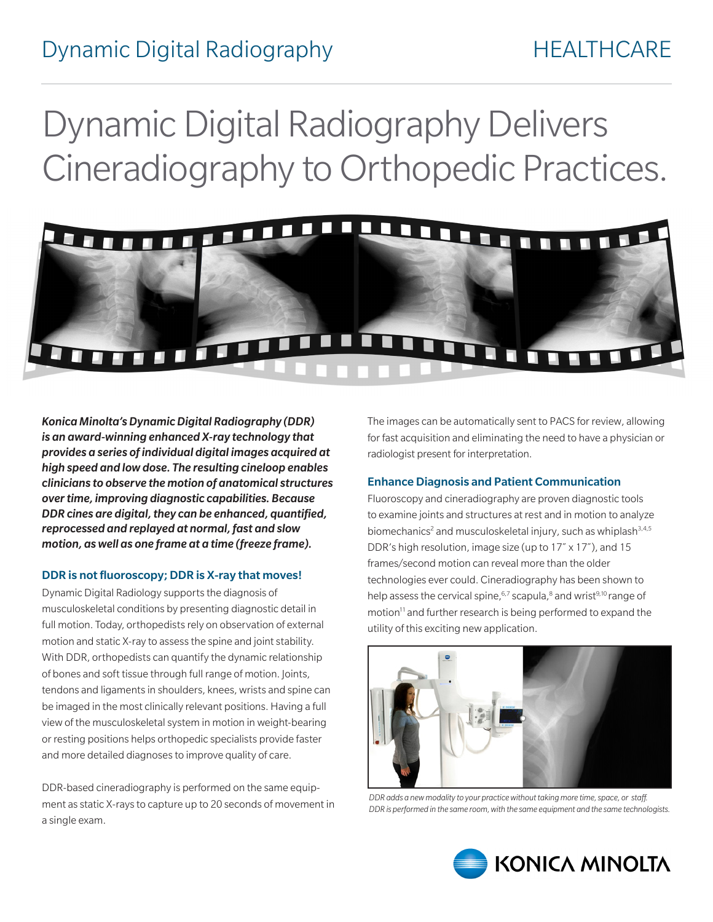## Dynamic Digital Radiography Delivers Cineradiography to Orthopedic Practices.



*Konica Minolta's Dynamic Digital Radiography (DDR) is an award-winning enhanced X-ray technology that provides a series of individual digital images acquired at high speed and low dose. The resulting cineloop enables clinicians to observe the motion of anatomical structures over time, improving diagnostic capabilities. Because DDR cines are digital, they can be enhanced, quantified, reprocessed and replayed at normal, fast and slow motion, as well as one frame at a time (freeze frame).* 

#### DDR is not fluoroscopy; DDR is X-ray that moves!

Dynamic Digital Radiology supports the diagnosis of musculoskeletal conditions by presenting diagnostic detail in full motion. Today, orthopedists rely on observation of external motion and static X-ray to assess the spine and joint stability. With DDR, orthopedists can quantify the dynamic relationship of bones and soft tissue through full range of motion. Joints, tendons and ligaments in shoulders, knees, wrists and spine can be imaged in the most clinically relevant positions. Having a full view of the musculoskeletal system in motion in weight-bearing or resting positions helps orthopedic specialists provide faster and more detailed diagnoses to improve quality of care.

DDR-based cineradiography is performed on the same equipment as static X-rays to capture up to 20 seconds of movement in a single exam.

The images can be automatically sent to PACS for review, allowing for fast acquisition and eliminating the need to have a physician or radiologist present for interpretation.

#### Enhance Diagnosis and Patient Communication

Fluoroscopy and cineradiography are proven diagnostic tools to examine joints and structures at rest and in motion to analyze biomechanics<sup>2</sup> and musculoskeletal injury, such as whiplash<sup>3,4,5</sup> DDR's high resolution, image size (up to 17˝ x 17˝), and 15 frames/second motion can reveal more than the older technologies ever could. Cineradiography has been shown to help assess the cervical spine,<sup>6,7</sup> scapula,<sup>8</sup> and wrist<sup>9,10</sup> range of motion<sup>11</sup> and further research is being performed to expand the utility of this exciting new application.



*DDR adds a new modality to your practice without taking more time, space, or staff. DDR is performed in the same room, with the same equipment and the same technologists.*